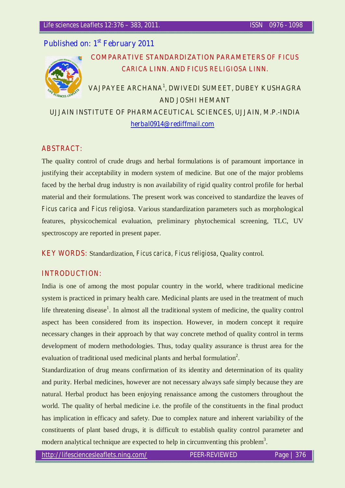## **Published on: 1st February 2011**



# **COMPARATIVE STANDARDIZATION PARAMETERS** *OF FICUS CARICA* **LINN. AND** *FICUS RELIGIOSA* **LINN.**

# **VAJPAYEE ARCHANA1 , DWIVEDI SUMEET, DUBEY KUSHAGRA AND JOSHI HEMANT UJJAIN INSTITUTE OF PHARMACEUTICAL SCIENCES, UJJAIN, M.P.-INDIA**

**herbal0914@rediffmail.com**

## *ABSTRACT:*

The quality control of crude drugs and herbal formulations is of paramount importance in justifying their acceptability in modern system of medicine. But one of the major problems faced by the herbal drug industry is non availability of rigid quality control profile for herbal material and their formulations. The present work was conceived to standardize the leaves of *Ficus carica* and *Ficus religiosa*. Various standardization parameters such as morphological features, physicochemical evaluation, preliminary phytochemical screening, TLC, UV spectroscopy are reported in present paper.

*KEY WORDS:* Standardization, *Ficus carica, Ficus religiosa*, Quality control.

## *INTRODUCTION:*

India is one of among the most popular country in the world, where traditional medicine system is practiced in primary health care. Medicinal plants are used in the treatment of much life threatening disease<sup>1</sup>. In almost all the traditional system of medicine, the quality control aspect has been considered from its inspection. However, in modern concept it require necessary changes in their approach by that way concrete method of quality control in terms development of modern methodologies. Thus, today quality assurance is thrust area for the evaluation of traditional used medicinal plants and herbal formulation<sup>2</sup>.

Standardization of drug means confirmation of its identity and determination of its quality and purity. Herbal medicines, however are not necessary always safe simply because they are natural. Herbal product has been enjoying renaissance among the customers throughout the world. The quality of herbal medicine i.e. the profile of the constituents in the final product has implication in efficacy and safety**.** Due to complex nature and inherent variability of the constituents of plant based drugs, it is difficult to establish quality control parameter and modern analytical technique are expected to help in circumventing this problem<sup>3</sup>.

**http://lifesciencesleaflets.ning.com/ PEER-REVIEWED Page | 376**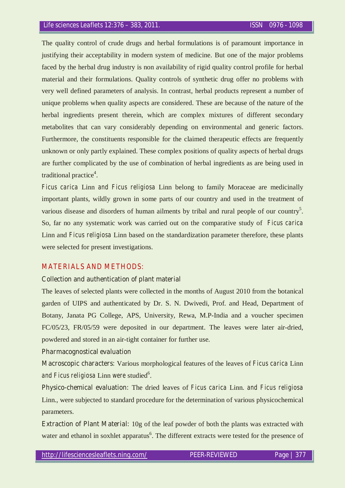The quality control of crude drugs and herbal formulations is of paramount importance in justifying their acceptability in modern system of medicine. But one of the major problems faced by the herbal drug industry is non availability of rigid quality control profile for herbal material and their formulations. Quality controls of synthetic drug offer no problems with very well defined parameters of analysis. In contrast, herbal products represent a number of unique problems when quality aspects are considered. These are because of the nature of the herbal ingredients present therein, which are complex mixtures of different secondary metabolites that can vary considerably depending on environmental and generic factors. Furthermore, the constituents responsible for the claimed therapeutic effects are frequently unknown or only partly explained. These complex positions of quality aspects of herbal drugs are further complicated by the use of combination of herbal ingredients as are being used in traditional practice<sup>4</sup>.

*Ficus carica* Linn *and Ficus religiosa* Linn belong to family Moraceae are medicinally important plants, wildly grown in some parts of our country and used in the treatment of various disease and disorders of human ailments by tribal and rural people of our country<sup>5</sup>. So, far no any systematic work was carried out on the comparative study of *Ficus carica*  Linn and *Ficus religiosa* Linn based on the standardization parameter therefore, these plants were selected for present investigations.

#### *MATERIALS AND METHODS:*

#### **Collection and authentication of plant material**

The leaves of selected plants were collected in the months of August 2010 from the botanical garden of UIPS and authenticated by Dr. S. N. Dwivedi, Prof. and Head, Department of Botany, Janata PG College, APS, University, Rewa, M.P-India and a voucher specimen FC/05/23, FR/05/59 were deposited in our department. The leaves were later air-dried, powdered and stored in an air-tight container for further use.

#### **Pharmacognostical evaluation**

**Macroscopic characters:** Various morphological features of the leaves of *Ficus carica* Linn and Ficus religiosa Linn were studied<sup>6</sup>.

**Physico-chemical evaluation:** The dried leaves of *Ficus carica* Linn. *and Ficus religiosa*  Linn., were subjected to standard procedure for the determination of various physicochemical parameters.

**Extraction of Plant Material:** 10g of the leaf powder of both the plants was extracted with water and ethanol in soxhlet apparatus<sup>6</sup>. The different extracts were tested for the presence of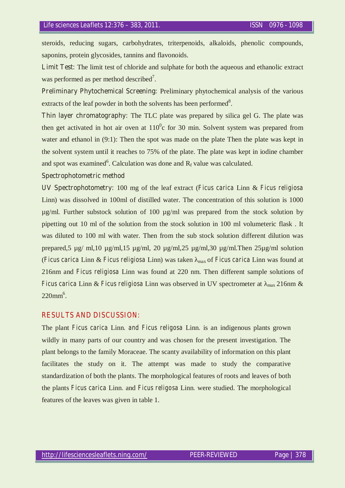steroids, reducing sugars, carbohydrates, triterpenoids, alkaloids, phenolic compounds, saponins, protein glycosides, tannins and flavonoids.

**Limit Test:** The limit test of chloride and sulphate for both the aqueous and ethanolic extract was performed as per method described<sup>7</sup>.

**Preliminary Phytochemical Screening:** Preliminary phytochemical analysis of the various extracts of the leaf powder in both the solvents has been performed $8$ .

**Thin layer chromatography:** The TLC plate was prepared by silica gel G. The plate was then get activated in hot air oven at  $110<sup>0</sup>$ c for 30 min. Solvent system was prepared from water and ethanol in (9:1): Then the spot was made on the plate Then the plate was kept in the solvent system until it reaches to 75% of the plate. The plate was kept in iodine chamber and spot was examined<sup>6</sup>. Calculation was done and  $R_f$  value was calculated.

#### **Spectrophotometric method**

**UV Spectrophotometry:** 100 mg of the leaf extract (*Ficus carica* Linn & *Ficus religiosa* Linn) was dissolved in 100ml of distilled water. The concentration of this solution is 1000 µg/ml. Further substock solution of 100 µg/ml was prepared from the stock solution by pipetting out 10 ml of the solution from the stock solution in 100 ml volumeteric flask . It was diluted to 100 ml with water. Then from the sub stock solution different dilution was prepared,5 µg/ ml,10 µg/ml,15 µg/ml, 20 µg/ml,25 µg/ml,30 µg/ml.Then 25µg/ml solution (*Ficus carica* Linn & *Ficus religiosa* Linn) was taken max of *Ficus carica* Linn was found at 216nm and *Ficus religiosa* Linn was found at 220 nm. Then different sample solutions of *Ficus carica* Linn & *Ficus religiosa* Linn was observed in UV spectrometer at  $_{max}$  216nm &  $220$ mm<sup>6</sup>.

#### *RESULTS AND DISCUSSION:*

The plant *Ficus carica* Linn*. and Ficus religosa* Linn*.* is an indigenous plants grown wildly in many parts of our country and was chosen for the present investigation. The plant belongs to the family Moraceae. The scanty availability of information on this plant facilitates the study on it. The attempt was made to study the comparative standardization of both the plants. The morphological features of roots and leaves of both the plants *Ficus carica* Linn*.* and *Ficus religosa* Linn*.* were studied. The morphological features of the leaves was given in table 1.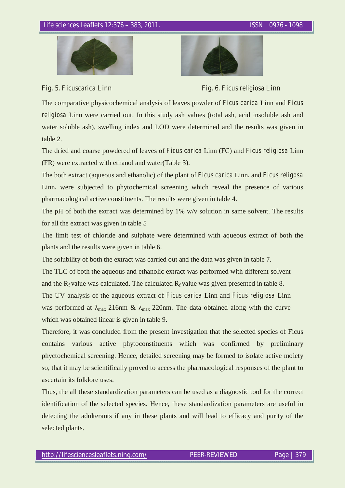



**Fig. 5.** *Ficuscarica* **Linn****Fig. 6.** *Ficus religiosa* **Linn**

The comparative physicochemical analysis of leaves powder of *Ficus carica* Linn and *Ficus religiosa* Linn were carried out. In this study ash values (total ash, acid insoluble ash and water soluble ash), swelling index and LOD were determined and the results was given in table 2.

The dried and coarse powdered of leaves of *Ficus carica* Linn (FC) and *Ficus religiosa* Linn (FR) were extracted with ethanol and water(Table 3).

The both extract (aqueous and ethanolic) of the plant of *Ficus carica* Linn*.* and *Ficus religosa*  Linn*.* were subjected to phytochemical screening which reveal the presence of various pharmacological active constituents. The results were given in table 4.

The pH of both the extract was determined by 1% w/v solution in same solvent. The results for all the extract was given in table 5

The limit test of chloride and sulphate were determined with aqueous extract of both the plants and the results were given in table 6.

The solubility of both the extract was carried out and the data was given in table 7.

The TLC of both the aqueous and ethanolic extract was performed with different solvent and the  $R_f$  value was calculated. The calculated  $R_f$  value was given presented in table 8.

The UV analysis of the aqueous extract of *Ficus carica* Linn and *Ficus religiosa* Linn was performed at  $_{\text{max}}$  216nm &  $_{\text{max}}$  220nm. The data obtained along with the curve which was obtained linear is given in table 9.

Therefore, it was concluded from the present investigation that the selected species of Ficus contains various active phytoconstituents which was confirmed by preliminary phyctochemical screening. Hence, detailed screening may be formed to isolate active moiety so, that it may be scientifically proved to access the pharmacological responses of the plant to ascertain its folklore uses.

Thus, the all these standardization parameters can be used as a diagnostic tool for the correct identification of the selected species. Hence, these standardization parameters are useful in detecting the adulterants if any in these plants and will lead to efficacy and purity of the selected plants.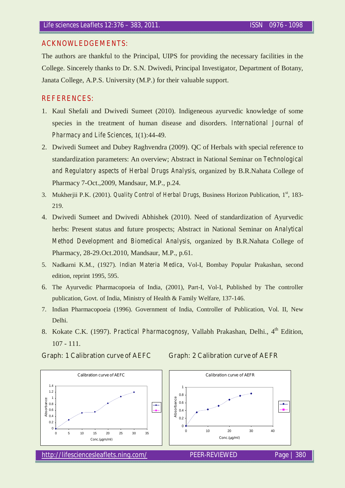#### *ACKNOWLEDGEMENTS:*

The authors are thankful to the Principal, UIPS for providing the necessary facilities in the College. Sincerely thanks to Dr. S.N. Dwivedi, Principal Investigator, Department of Botany, Janata College, A.P.S. University (M.P.) for their valuable support.

### *REFERENCES:*

- 1. Kaul Shefali and Dwivedi Sumeet (2010). Indigeneous ayurvedic knowledge of some species in the treatment of human disease and disorders. *International Journal of Pharmacy and Life Sciences*, 1(1):44-49.
- 2. Dwivedi Sumeet and Dubey Raghvendra (2009). QC of Herbals with special reference to standardization parameters: An overview; Abstract in National Seminar on *Technological and Regulatory aspects of Herbal Drugs Analysis*, organized by B.R.Nahata College of Pharmacy 7-Oct.,2009, Mandsaur, M.P., p.24.
- 3. Mukherjii P.K. (2001). *Quality Control of Herbal Drugs*, Business Horizon Publication, 1<sup>st</sup>, 183-219.
- 4. Dwivedi Sumeet and Dwivedi Abhishek (2010). Need of standardization of Ayurvedic herbs: Present status and future prospects; Abstract in National Seminar on *Analytical Method Development and Biomedical Analysis*, organized by B.R.Nahata College of Pharmacy, 28-29.Oct.2010, Mandsaur, M.P., p.61.
- 5. Nadkarni K.M., (1927). *Indian Materia Medica*, Vol-I, Bombay Popular Prakashan, second edition, reprint 1995, 595.
- 6. The Ayurvedic Pharmacopoeia of India, (2001), Part-I, Vol-I, Published by The controller publication, Govt. of India, Ministry of Health & Family Welfare, 137-146.
- 7. Indian Pharmacopoeia (1996). Government of India, Controller of Publication, Vol. II, New Delhi.
- 8. Kokate C.K. (1997). *Practical Pharmacognosy*, Vallabh Prakashan, Delhi., 4<sup>th</sup> Edition, 107 - 111.





 $\overline{\bullet}$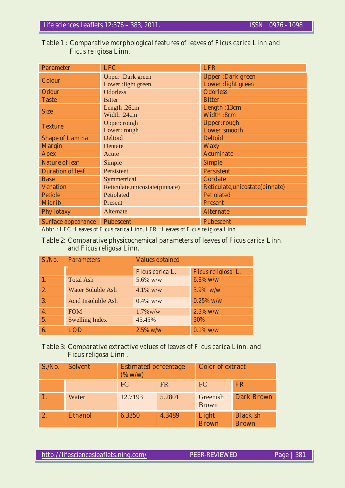| <b>Parameter</b>          | <b>LFC</b>                       | <b>LFR</b>                      |
|---------------------------|----------------------------------|---------------------------------|
| <b>Colour</b>             | <b>Upper</b> : Dark green        | <b>Upper:Dark green</b>         |
|                           | Lower: light green               | <b>Lower:light green</b>        |
| <b>Odour</b>              | <b>Odorless</b>                  | <b>Odorless</b>                 |
| <b>Taste</b>              | <b>Bitter</b>                    | <b>Bitter</b>                   |
| <b>Size</b>               | Length :26cm                     | Length: 13cm                    |
|                           | Width:24cm                       | <b>Width:8cm</b>                |
| <b>Texture</b>            | Upper: rough                     | <b>Upper:rough</b>              |
|                           | Lower: rough                     | Lower:smooth                    |
| <b>Shape of Lamina</b>    | Deltoid                          | <b>Deltoid</b>                  |
| <b>Margin</b>             | Dentate                          | <b>Waxy</b>                     |
| <b>Apex</b>               | Acute                            | <b>Acuminate</b>                |
| <b>Nature of leaf</b>     | Simple                           | <b>Simple</b>                   |
| <b>Duration of leaf</b>   | Persistent                       | <b>Persistent</b>               |
| <b>Base</b>               | Symmetrical                      | <b>Cordate</b>                  |
| <b>Venation</b>           | Reticulate, unicostate (pinnate) | Reticulate, unicostate(pinnate) |
| <b>Petiole</b>            | Petiolated                       | <b>Petiolated</b>               |
| <b>Midrib</b>             | Present                          | <b>Present</b>                  |
| <b>Phyllotaxy</b>         | Alternate                        | <b>Alternate</b>                |
| <b>Surface appearance</b> | <b>Pubescent</b>                 | <b>Pubescent</b>                |

## **Table 1 : Comparative morphological features of leaves of** *Ficus carica* **Linn and**   *Ficus religiosa* **Linn***.*

**Abbr.: LFC=Leaves of** *Ficus carica* **Linn***,* **LFR= Leaves of** *Ficus religiosa* **Linn** 

#### **Table 2: Comparative physicochemical parameters of leaves of** *Ficus carica* **Linn***.*  **and** *Ficus religosa* **Linn***.*

| S.No.            | <b>Parameters</b>        | <b>Values obtained</b> |                    |
|------------------|--------------------------|------------------------|--------------------|
|                  |                          | <i>Ficus carica L.</i> | Ficus religiosa L. |
| 1.               | <b>Total Ash</b>         | 5.6% w/w               | $6.8\%$ w/w        |
| 2.               | <b>Water Soluble Ash</b> | 4.1% $w/w$             | $3.9\%$ w/w        |
| 3.               | Acid Insoluble Ash       | $0.4\%$ w/w            | $0.25\%$ w/w       |
| $\overline{4}$ . | <b>FOM</b>               | $1.7\%$ w/w            | $2.3\%$ w/w        |
| 5.               | <b>Swelling Index</b>    | 45.45%                 | 30%                |
| 6.               | <b>LOD</b>               | $2.5\%$ w/w            | $0.1\%$ w/w        |

## **Table 3: Comparative extractive values of leaves of** *Ficus carica* **Linn***.* **and**  *Ficus religosa* **Linn** *.*

| S.No. | <b>Solvent</b> | <b>Estimated percentage</b><br>$($ %w/w) |           | <b>Color of extract</b>  |                                 |
|-------|----------------|------------------------------------------|-----------|--------------------------|---------------------------------|
|       |                | <b>FC</b>                                | <b>FR</b> | FC                       | <b>FR</b>                       |
|       | Water          | 12.7193                                  | 5.2801    | Greenish<br><b>Brown</b> | <b>Dark Brown</b>               |
|       | <b>Ethanol</b> | 6.3350                                   | 4.3489    | Light<br><b>Brown</b>    | <b>Blackish</b><br><b>Brown</b> |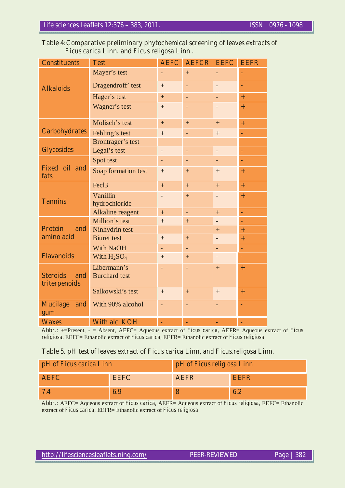#### **Table 4:Comparative preliminary phytochemical screening of leaves extracts of**  *Ficus carica* **Linn***.* **and** *Ficus religosa* **Linn** *.*

| <b>Constituents</b>                 | <b>Test</b>          | <b>AEFC</b> | <b>AEFCR</b> | <b>EEFC</b>              | <b>EEFR</b> |
|-------------------------------------|----------------------|-------------|--------------|--------------------------|-------------|
|                                     | Mayer's test         |             | $+$          | ÷,                       |             |
| <b>Alkaloids</b>                    | Dragendroff' test    | $+$         | ÷,           | $\overline{\phantom{0}}$ | ä,          |
|                                     | Hager's test         | $\ddot{}$   | ÷            | $\overline{\phantom{a}}$ | $+$         |
|                                     | Wagner's test        | $^{+}$      | -            |                          | $+$         |
|                                     | Molisch's test       | $+$         | $+$          | $+$                      | $+$         |
| <b>Carbohydrates</b>                | Fehling's test       | $+$         | ÷,           | $^{+}$                   | ä,          |
|                                     | Brontrager's test    |             |              |                          |             |
| <b>Glycosides</b>                   | Legal's test         | ÷,          | ÷,           | $\overline{\phantom{0}}$ | ä,          |
|                                     | Spot test            | ÷,          | ÷,           | ÷,                       | ä,          |
| Fixed oil and<br>fats               | Soap formation test  | $+$         | $+$          | $^{+}$                   | $\ddot{}$   |
|                                     | Fec <sub>13</sub>    | $+$         | $+$          | $+$                      | $\ddot{}$   |
|                                     | Vanillin             | -           | $+$          | $\overline{\phantom{0}}$ | $+$         |
| <b>Tannins</b>                      | hydrochloride        |             |              |                          |             |
|                                     | Alkaline reagent     | $+$         | L,           | $+$                      | ä,          |
|                                     | Million's test       | $^{+}$      | $+$          | $\overline{\phantom{a}}$ | ä,          |
| <b>Protein</b><br>and<br>amino acid | Ninhydrin test       | ÷,          |              | $+$                      | $\ddot{}$   |
|                                     | <b>Biuret</b> test   | $^{+}$      | $+$          | $\qquad \qquad -$        | $\ddot{}$   |
|                                     | With NaOH            | ÷.          | ÷.           | ÷,                       | ä,          |
| <b>Flavanoids</b>                   | With $H_2SO_4$       | $+$         | $+$          | $\qquad \qquad -$        | ÷           |
|                                     | Libermann's          | ÷,          | ÷,           | $+$                      | $+$         |
| <b>Steroids</b><br>and              | <b>Burchard</b> test |             |              |                          |             |
| triterpenoids                       | Salkowski's test     | $+$         | $+$          | $+$                      | $\ddot{}$   |
| <b>Mucilage</b><br>and<br>gum       | With 90% alcohol     | L,          | ÷,           |                          | ٠           |
| <b>Waxes</b>                        | <b>With alc. KOH</b> | ÷,          | ÷,           | ÷                        | l,          |

**Abbr.:** +=Present, - = Absent, AEFC= Aqueous extract of *Ficus carica,* AEFR= Aqueous extract of *Ficus religiosa,* EEFC= Ethanolic extract of *Ficus carica,* EEFR= Ethanolic extract of *Ficus religiosa* 

#### **Table 5. pH test of leaves extract of** *Ficus carica* **Linn***, and Ficus.religosa* **Linn***.*

| pH of <i>Ficus carica</i> Linn |             | pH of Ficus religiosa Linn |      |
|--------------------------------|-------------|----------------------------|------|
| <b>AEFC</b>                    | <b>EEFC</b> | <b>AEFR</b>                | EEFR |
|                                | 6.9         | δ                          |      |

**Abbr.:** AEFC= Aqueous extract of *Ficus carica,* AEFR= Aqueous extract of *Ficus religiosa,* EEFC= Ethanolic extract of *Ficus carica,* EEFR= Ethanolic extract of *Ficus religiosa*